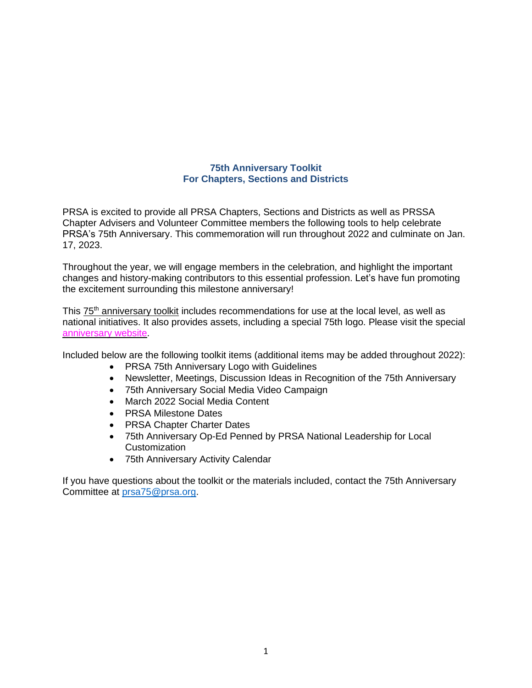## **75th Anniversary Toolkit For Chapters, Sections and Districts**

PRSA is excited to provide all PRSA Chapters, Sections and Districts as well as PRSSA Chapter Advisers and Volunteer Committee members the following tools to help celebrate PRSA's 75th Anniversary. This commemoration will run throughout 2022 and culminate on Jan. 17, 2023.

Throughout the year, we will engage members in the celebration, and highlight the important changes and history-making contributors to this essential profession. Let's have fun promoting the excitement surrounding this milestone anniversary!

This 75<sup>th</sup> [anniversary](https://prsa365-my.sharepoint.com/personal/miriam_prsa_org/_layouts/15/onedrive.aspx?id=%2Fpersonal%2Fmiriam%5Fprsa%5Forg%2FDocuments%2F75th%20Ann%20Toolkit) toolkit includes recommendations for use at the local level, as well as national initiatives. It also provides assets, including a special 75th logo. Please visit the special [anniversary](https://prsa.org/75) website.

Included below are the following toolkit items (additional items may be added throughout 2022):

- PRSA 75th Anniversary Logo with Guidelines
- Newsletter, Meetings, Discussion Ideas in Recognition of the 75th Anniversary
- 75th Anniversary Social Media Video Campaign
- March 2022 Social Media Content
- PRSA Milestone Dates
- PRSA Chapter Charter Dates
- 75th Anniversary Op-Ed Penned by PRSA National Leadership for Local **Customization**
- 75th Anniversary Activity Calendar

If you have questions about the toolkit or the materials included, contact the 75th Anniversary Committee at prsa75@prsa.org.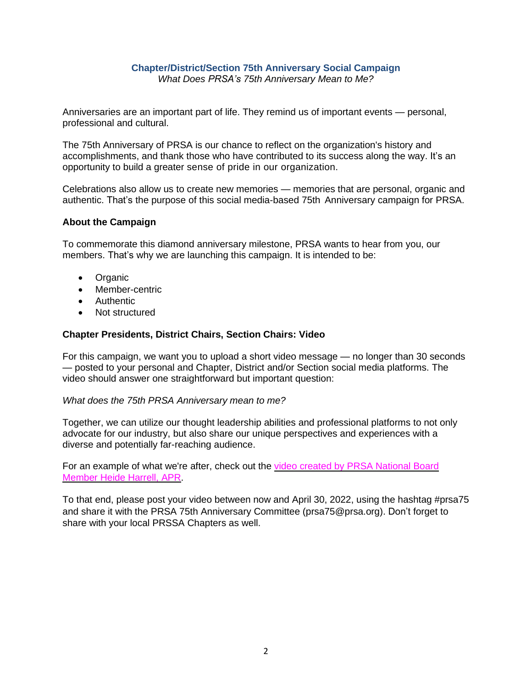#### **Chapter/District/Section 75th Anniversary Social Campaign** *What Does PRSA's 75th Anniversary Mean to Me?*

Anniversaries are an important part of life. They remind us of important events — personal, professional and cultural.

The 75th Anniversary of PRSA is our chance to reflect on the organization's history and accomplishments, and thank those who have contributed to its success along the way. It's an opportunity to build a greater sense of pride in our organization.

Celebrations also allow us to create new memories — memories that are personal, organic and authentic. That's the purpose of this social media-based 75th Anniversary campaign for PRSA.

#### **About the Campaign**

To commemorate this diamond anniversary milestone, PRSA wants to hear from you, our members. That's why we are launching this campaign. It is intended to be:

- Organic
- Member-centric
- Authentic
- Not structured

#### **Chapter Presidents, District Chairs, Section Chairs: Video**

For this campaign, we want you to upload a short video message — no longer than 30 seconds — posted to your personal and Chapter, District and/or Section social media platforms. The video should answer one straightforward but important question:

*What does the 75th PRSA Anniversary mean to me?*

Together, we can utilize our thought leadership abilities and professional platforms to not only advocate for our industry, but also share our unique perspectives and experiences with a diverse and potentially far-reaching audience.

For an example of what we're after, check out the video created by PRSA [National](https://jwp.io/s/1q1mPKUv) Board [Member](https://jwp.io/s/1q1mPKUv) Heide Harrell, APR.

To that end, please post your video between now and April 30, 2022, using the hashtag #prsa75 and share it with the PRSA 75th Anniversary Committee (prsa75@prsa.org). Don't forget to share with your local PRSSA Chapters as well.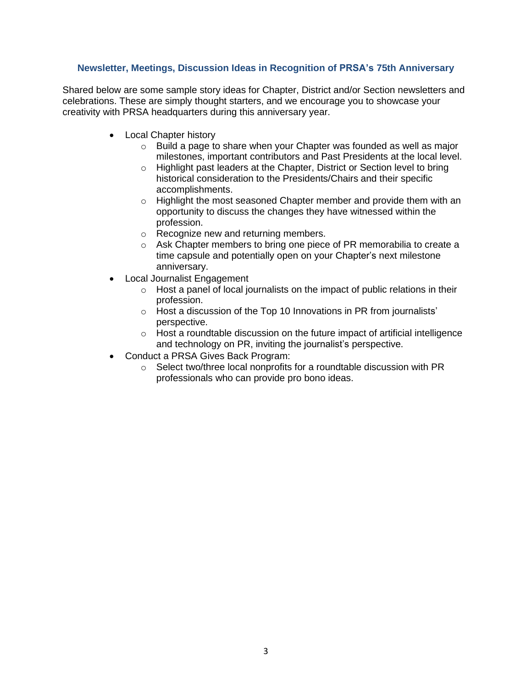# **Newsletter, Meetings, Discussion Ideas in Recognition of PRSA's 75th Anniversary**

Shared below are some sample story ideas for Chapter, District and/or Section newsletters and celebrations. These are simply thought starters, and we encourage you to showcase your creativity with PRSA headquarters during this anniversary year.

- Local Chapter history
	- o Build a page to share when your Chapter was founded as well as major milestones, important contributors and Past Presidents at the local level.
	- o Highlight past leaders at the Chapter, District or Section level to bring historical consideration to the Presidents/Chairs and their specific accomplishments.
	- o Highlight the most seasoned Chapter member and provide them with an opportunity to discuss the changes they have witnessed within the profession.
	- o Recognize new and returning members.
	- o Ask Chapter members to bring one piece of PR memorabilia to create a time capsule and potentially open on your Chapter's next milestone anniversary.
- Local Journalist Engagement
	- o Host a panel of local journalists on the impact of public relations in their profession.
	- o Host a discussion of the Top 10 Innovations in PR from journalists' perspective.
	- o Host a roundtable discussion on the future impact of artificial intelligence and technology on PR, inviting the journalist's perspective.
- Conduct a PRSA Gives Back Program:
	- o Select two/three local nonprofits for a roundtable discussion with PR professionals who can provide pro bono ideas.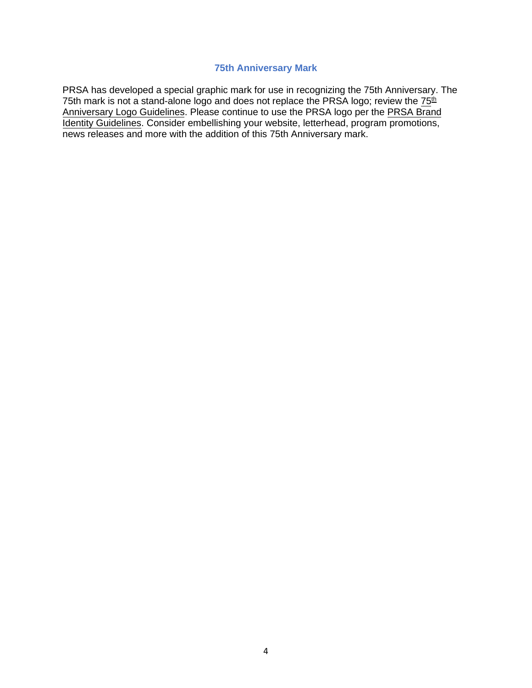# **75th Anniversary Mark**

PRSA has developed a special graphic mark for use in recognizing the 75th Anniversary. The 75th mark is not a stand-alone logo and does not replace the PRSA logo; review the  $75<sup>th</sup>$ [Anniversary Logo](https://prsa365-my.sharepoint.com/:f:/g/personal/andrea_prsa_org/Ev2UTzwDZ4NKj8IDiPz6kPsBfNPS9mSccJQUVTn-UBwFjQ?e=n7eUaP) Guidelines. Please continue to use the [PRSA](https://www.prsa.org/docs/default-source/about/prsa-brand-guidelines.pdf?sfvrsn=633813a6_18) logo per the PRSA Brand [Identity Guidelines.](https://www.prsa.org/docs/default-source/about/prsa-brand-guidelines.pdf?sfvrsn=633813a6_18) Consider embellishing your website, letterhead, program promotions, news releases and more with the addition of this 75th Anniversary mark.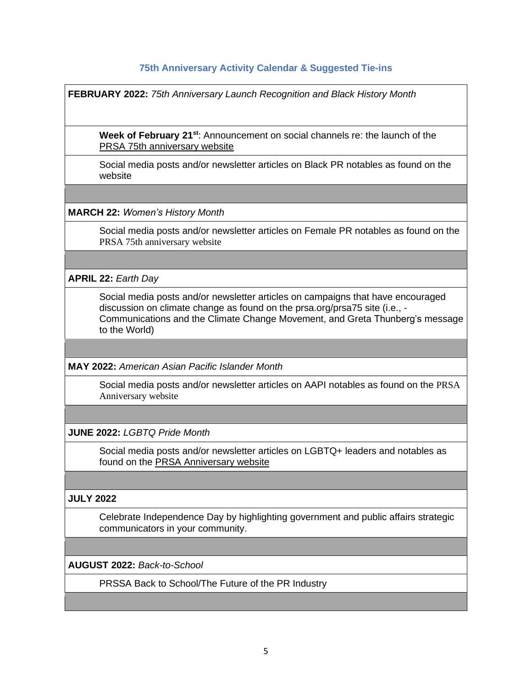# **75th Anniversary Activity Calendar & Suggested Tie-ins**

|                            | <b>FEBRUARY 2022: 75th Anniversary Launch Recognition and Black History Month</b>                                                                                                                                                             |
|----------------------------|-----------------------------------------------------------------------------------------------------------------------------------------------------------------------------------------------------------------------------------------------|
|                            | Week of February 21 <sup>st</sup> : Announcement on social channels re: the launch of the<br>PRSA 75th anniversary website                                                                                                                    |
| website                    | Social media posts and/or newsletter articles on Black PR notables as found on the                                                                                                                                                            |
|                            |                                                                                                                                                                                                                                               |
|                            | <b>MARCH 22: Women's History Month</b>                                                                                                                                                                                                        |
|                            | Social media posts and/or newsletter articles on Female PR notables as found on the<br>PRSA 75th anniversary website                                                                                                                          |
|                            |                                                                                                                                                                                                                                               |
| <b>APRIL 22: Earth Day</b> |                                                                                                                                                                                                                                               |
|                            | Social media posts and/or newsletter articles on campaigns that have encouraged<br>discussion on climate change as found on the prsa.org/prsa75 site (i.e., -<br>Communications and the Climate Change Movement, and Greta Thunberg's message |

**MAY 2022:** *American Asian Pacific Islander Month*

Social media posts and/or newsletter articles on AAPI notables as found on the [PRSA](https://prsa.org/prsa75) [Anniversary](https://prsa.org/prsa75) website

**JUNE 2022:** *LGBTQ Pride Month*

to the World)

Social media posts and/or newsletter articles on LGBTQ+ leaders and notables as found on the PRSA [Anniversary](https://prsa.org/prsa75) website

# **JULY 2022**

Celebrate Independence Day by highlighting government and public affairs strategic communicators in your community.

**AUGUST 2022:** *Back-to-School*

PRSSA Back to School/The Future of the PR Industry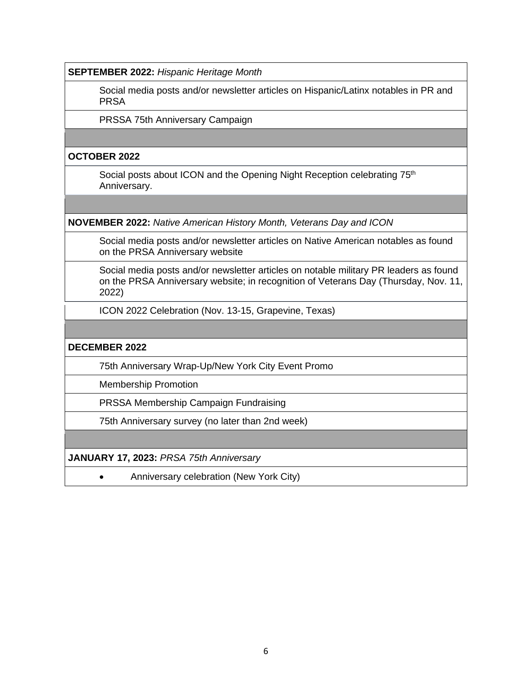**SEPTEMBER 2022:** *Hispanic Heritage Month*

Social media posts and/or newsletter articles on Hispanic/Latinx notables in PR and PRSA

PRSSA 75th Anniversary Campaign

## **OCTOBER 2022**

Social posts about ICON and the Opening Night Reception celebrating 75<sup>th</sup> Anniversary.

**NOVEMBER 2022:** *Native American History Month, Veterans Day and ICON*

Social media posts and/or newsletter articles on Native American notables as found on the PRSA [Anniversary](https://prsa.org/prsa75) website

Social media posts and/or newsletter articles on notable military PR leaders as found on the PRSA [Anniversary](https://prsa.org/prsa75) website; in recognition of Veterans Day (Thursday, Nov. 11, 2022)

ICON 2022 Celebration (Nov. 13-15, Grapevine, Texas)

#### **DECEMBER 2022**

75th Anniversary Wrap-Up/New York City Event Promo

Membership Promotion

PRSSA Membership Campaign Fundraising

75th Anniversary survey (no later than 2nd week)

**JANUARY 17, 2023:** *PRSA 75th Anniversary*

• Anniversary celebration (New York City)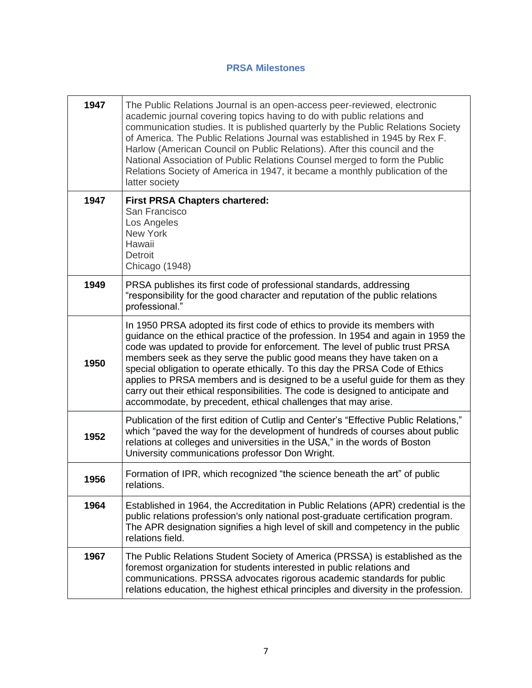# **PRSA Milestones**

| 1947 | The Public Relations Journal is an open-access peer-reviewed, electronic<br>academic journal covering topics having to do with public relations and<br>communication studies. It is published quarterly by the Public Relations Society<br>of America. The Public Relations Journal was established in 1945 by Rex F.<br>Harlow (American Council on Public Relations). After this council and the<br>National Association of Public Relations Counsel merged to form the Public<br>Relations Society of America in 1947, it became a monthly publication of the<br>latter society                                                           |
|------|----------------------------------------------------------------------------------------------------------------------------------------------------------------------------------------------------------------------------------------------------------------------------------------------------------------------------------------------------------------------------------------------------------------------------------------------------------------------------------------------------------------------------------------------------------------------------------------------------------------------------------------------|
| 1947 | <b>First PRSA Chapters chartered:</b><br>San Francisco<br>Los Angeles<br>New York<br>Hawaii<br>Detroit<br>Chicago (1948)                                                                                                                                                                                                                                                                                                                                                                                                                                                                                                                     |
| 1949 | PRSA publishes its first code of professional standards, addressing<br>"responsibility for the good character and reputation of the public relations<br>professional."                                                                                                                                                                                                                                                                                                                                                                                                                                                                       |
| 1950 | In 1950 PRSA adopted its first code of ethics to provide its members with<br>guidance on the ethical practice of the profession. In 1954 and again in 1959 the<br>code was updated to provide for enforcement. The level of public trust PRSA<br>members seek as they serve the public good means they have taken on a<br>special obligation to operate ethically. To this day the PRSA Code of Ethics<br>applies to PRSA members and is designed to be a useful guide for them as they<br>carry out their ethical responsibilities. The code is designed to anticipate and<br>accommodate, by precedent, ethical challenges that may arise. |
| 1952 | Publication of the first edition of Cutlip and Center's "Effective Public Relations,"<br>which "paved the way for the development of hundreds of courses about public<br>relations at colleges and universities in the USA," in the words of Boston<br>University communications professor Don Wright.                                                                                                                                                                                                                                                                                                                                       |
| 1956 | Formation of IPR, which recognized "the science beneath the art" of public<br>relations.                                                                                                                                                                                                                                                                                                                                                                                                                                                                                                                                                     |
| 1964 | Established in 1964, the Accreditation in Public Relations (APR) credential is the<br>public relations profession's only national post-graduate certification program.<br>The APR designation signifies a high level of skill and competency in the public<br>relations field.                                                                                                                                                                                                                                                                                                                                                               |
| 1967 | The Public Relations Student Society of America (PRSSA) is established as the<br>foremost organization for students interested in public relations and<br>communications. PRSSA advocates rigorous academic standards for public<br>relations education, the highest ethical principles and diversity in the profession.                                                                                                                                                                                                                                                                                                                     |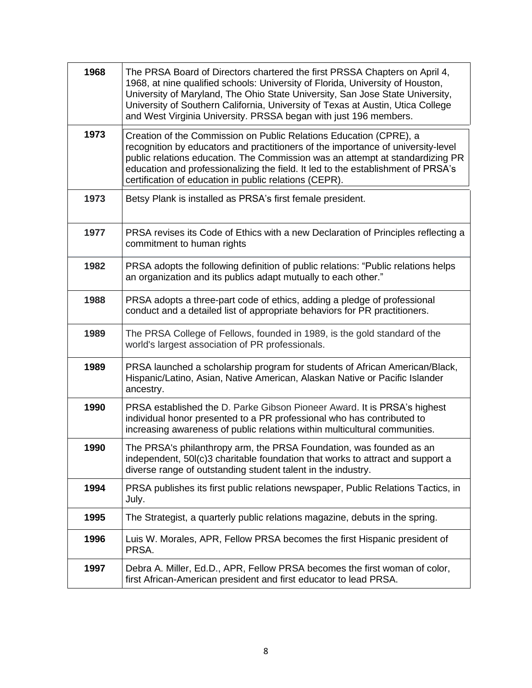| 1968 | The PRSA Board of Directors chartered the first PRSSA Chapters on April 4,<br>1968, at nine qualified schools: University of Florida, University of Houston,<br>University of Maryland, The Ohio State University, San Jose State University,<br>University of Southern California, University of Texas at Austin, Utica College<br>and West Virginia University. PRSSA began with just 196 members. |
|------|------------------------------------------------------------------------------------------------------------------------------------------------------------------------------------------------------------------------------------------------------------------------------------------------------------------------------------------------------------------------------------------------------|
| 1973 | Creation of the Commission on Public Relations Education (CPRE), a<br>recognition by educators and practitioners of the importance of university-level<br>public relations education. The Commission was an attempt at standardizing PR<br>education and professionalizing the field. It led to the establishment of PRSA's<br>certification of education in public relations (CEPR).                |
| 1973 | Betsy Plank is installed as PRSA's first female president.                                                                                                                                                                                                                                                                                                                                           |
| 1977 | PRSA revises its Code of Ethics with a new Declaration of Principles reflecting a<br>commitment to human rights                                                                                                                                                                                                                                                                                      |
| 1982 | PRSA adopts the following definition of public relations: "Public relations helps<br>an organization and its publics adapt mutually to each other."                                                                                                                                                                                                                                                  |
| 1988 | PRSA adopts a three-part code of ethics, adding a pledge of professional<br>conduct and a detailed list of appropriate behaviors for PR practitioners.                                                                                                                                                                                                                                               |
| 1989 | The PRSA College of Fellows, founded in 1989, is the gold standard of the<br>world's largest association of PR professionals.                                                                                                                                                                                                                                                                        |
| 1989 | PRSA launched a scholarship program for students of African American/Black,<br>Hispanic/Latino, Asian, Native American, Alaskan Native or Pacific Islander<br>ancestry.                                                                                                                                                                                                                              |
| 1990 | PRSA established the D. Parke Gibson Pioneer Award. It is PRSA's highest<br>individual honor presented to a PR professional who has contributed to<br>increasing awareness of public relations within multicultural communities.                                                                                                                                                                     |
| 1990 | The PRSA's philanthropy arm, the PRSA Foundation, was founded as an<br>independent, 50I(c)3 charitable foundation that works to attract and support a<br>diverse range of outstanding student talent in the industry.                                                                                                                                                                                |
| 1994 | PRSA publishes its first public relations newspaper, Public Relations Tactics, in<br>July.                                                                                                                                                                                                                                                                                                           |
| 1995 | The Strategist, a quarterly public relations magazine, debuts in the spring.                                                                                                                                                                                                                                                                                                                         |
| 1996 | Luis W. Morales, APR, Fellow PRSA becomes the first Hispanic president of<br>PRSA.                                                                                                                                                                                                                                                                                                                   |
| 1997 | Debra A. Miller, Ed.D., APR, Fellow PRSA becomes the first woman of color,<br>first African-American president and first educator to lead PRSA.                                                                                                                                                                                                                                                      |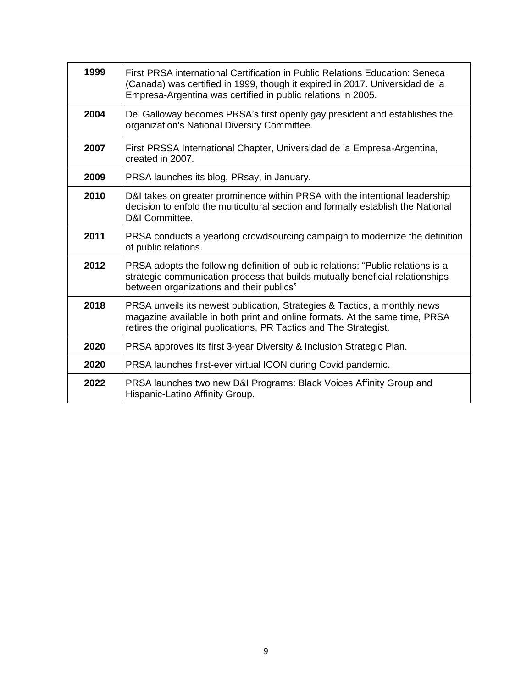| 1999 | First PRSA international Certification in Public Relations Education: Seneca<br>(Canada) was certified in 1999, though it expired in 2017. Universidad de la<br>Empresa-Argentina was certified in public relations in 2005.  |
|------|-------------------------------------------------------------------------------------------------------------------------------------------------------------------------------------------------------------------------------|
| 2004 | Del Galloway becomes PRSA's first openly gay president and establishes the<br>organization's National Diversity Committee.                                                                                                    |
| 2007 | First PRSSA International Chapter, Universidad de la Empresa-Argentina,<br>created in 2007.                                                                                                                                   |
| 2009 | PRSA launches its blog, PRsay, in January.                                                                                                                                                                                    |
| 2010 | D&I takes on greater prominence within PRSA with the intentional leadership<br>decision to enfold the multicultural section and formally establish the National<br>D&I Committee.                                             |
| 2011 | PRSA conducts a yearlong crowdsourcing campaign to modernize the definition<br>of public relations.                                                                                                                           |
| 2012 | PRSA adopts the following definition of public relations: "Public relations is a<br>strategic communication process that builds mutually beneficial relationships<br>between organizations and their publics"                 |
| 2018 | PRSA unveils its newest publication, Strategies & Tactics, a monthly news<br>magazine available in both print and online formats. At the same time, PRSA<br>retires the original publications, PR Tactics and The Strategist. |
| 2020 | PRSA approves its first 3-year Diversity & Inclusion Strategic Plan.                                                                                                                                                          |
| 2020 | PRSA launches first-ever virtual ICON during Covid pandemic.                                                                                                                                                                  |
| 2022 | PRSA launches two new D&I Programs: Black Voices Affinity Group and<br>Hispanic-Latino Affinity Group.                                                                                                                        |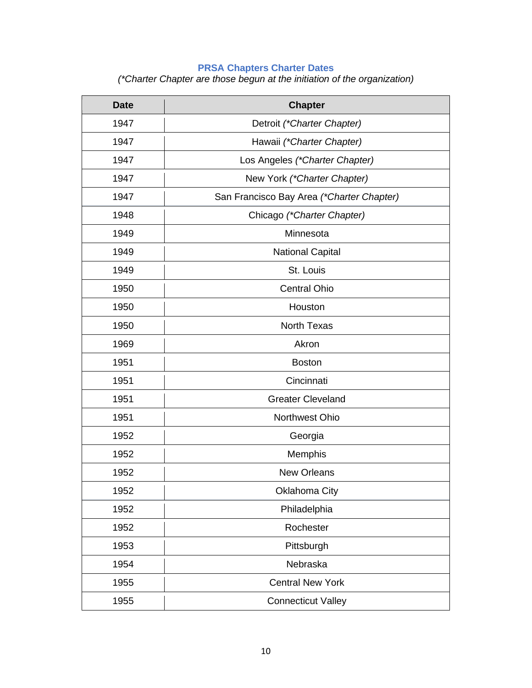#### **PRSA Chapters Charter Dates**

*(\*Charter Chapter are those begun at the initiation of the organization)*

| <b>Date</b> | <b>Chapter</b>                            |
|-------------|-------------------------------------------|
| 1947        | Detroit (*Charter Chapter)                |
| 1947        | Hawaii (*Charter Chapter)                 |
| 1947        | Los Angeles (*Charter Chapter)            |
| 1947        | New York (*Charter Chapter)               |
| 1947        | San Francisco Bay Area (*Charter Chapter) |
| 1948        | Chicago (*Charter Chapter)                |
| 1949        | Minnesota                                 |
| 1949        | <b>National Capital</b>                   |
| 1949        | St. Louis                                 |
| 1950        | <b>Central Ohio</b>                       |
| 1950        | Houston                                   |
| 1950        | <b>North Texas</b>                        |
| 1969        | Akron                                     |
| 1951        | <b>Boston</b>                             |
| 1951        | Cincinnati                                |
| 1951        | <b>Greater Cleveland</b>                  |
| 1951        | Northwest Ohio                            |
| 1952        | Georgia                                   |
| 1952        | Memphis                                   |
| 1952        | <b>New Orleans</b>                        |
| 1952        | Oklahoma City                             |
| 1952        | Philadelphia                              |
| 1952        | Rochester                                 |
| 1953        | Pittsburgh                                |
| 1954        | Nebraska                                  |
| 1955        | <b>Central New York</b>                   |
| 1955        | <b>Connecticut Valley</b>                 |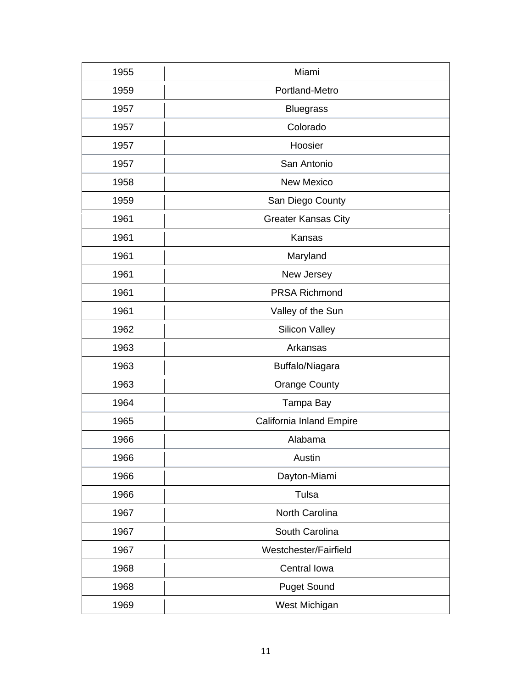| 1955 | Miami                      |
|------|----------------------------|
| 1959 | Portland-Metro             |
| 1957 | <b>Bluegrass</b>           |
| 1957 | Colorado                   |
| 1957 | Hoosier                    |
| 1957 | San Antonio                |
| 1958 | <b>New Mexico</b>          |
| 1959 | San Diego County           |
| 1961 | <b>Greater Kansas City</b> |
| 1961 | Kansas                     |
| 1961 | Maryland                   |
| 1961 | New Jersey                 |
| 1961 | <b>PRSA Richmond</b>       |
| 1961 | Valley of the Sun          |
| 1962 | <b>Silicon Valley</b>      |
| 1963 | Arkansas                   |
| 1963 | Buffalo/Niagara            |
| 1963 | <b>Orange County</b>       |
| 1964 | Tampa Bay                  |
| 1965 | California Inland Empire   |
| 1966 | Alabama                    |
| 1966 | Austin                     |
| 1966 | Dayton-Miami               |
| 1966 | Tulsa                      |
| 1967 | North Carolina             |
| 1967 | South Carolina             |
| 1967 | Westchester/Fairfield      |
| 1968 | Central Iowa               |
| 1968 | <b>Puget Sound</b>         |
| 1969 | West Michigan              |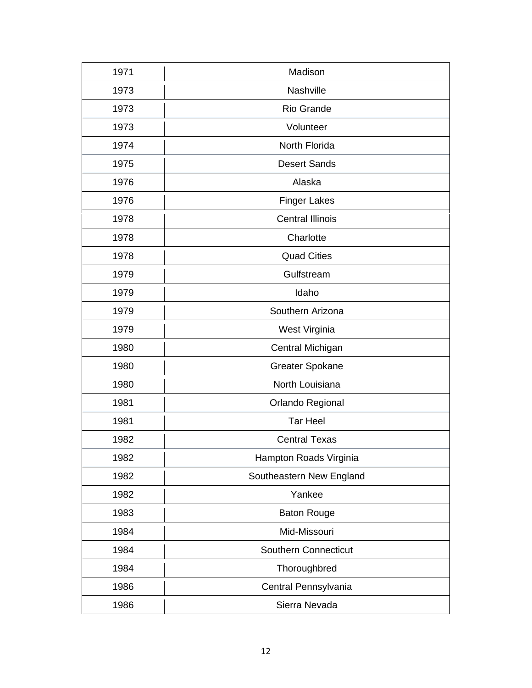| 1971 | Madison                     |
|------|-----------------------------|
| 1973 | Nashville                   |
| 1973 | Rio Grande                  |
| 1973 | Volunteer                   |
| 1974 | North Florida               |
| 1975 | <b>Desert Sands</b>         |
| 1976 | Alaska                      |
| 1976 | <b>Finger Lakes</b>         |
| 1978 | <b>Central Illinois</b>     |
| 1978 | Charlotte                   |
| 1978 | <b>Quad Cities</b>          |
| 1979 | Gulfstream                  |
| 1979 | Idaho                       |
| 1979 | Southern Arizona            |
| 1979 | West Virginia               |
| 1980 | Central Michigan            |
| 1980 | <b>Greater Spokane</b>      |
| 1980 | North Louisiana             |
| 1981 | Orlando Regional            |
| 1981 | <b>Tar Heel</b>             |
| 1982 | <b>Central Texas</b>        |
| 1982 | Hampton Roads Virginia      |
| 1982 | Southeastern New England    |
| 1982 | Yankee                      |
| 1983 | <b>Baton Rouge</b>          |
| 1984 | Mid-Missouri                |
| 1984 | <b>Southern Connecticut</b> |
| 1984 | Thoroughbred                |
| 1986 | Central Pennsylvania        |
| 1986 | Sierra Nevada               |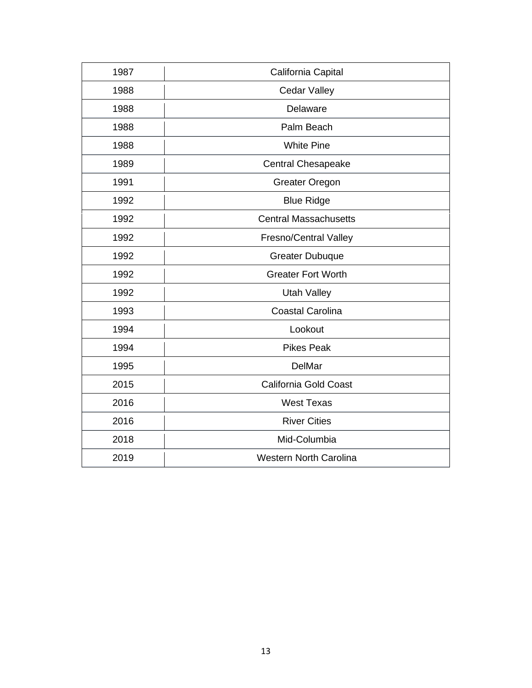| 1987 | California Capital            |
|------|-------------------------------|
| 1988 | <b>Cedar Valley</b>           |
| 1988 | Delaware                      |
| 1988 | Palm Beach                    |
| 1988 | <b>White Pine</b>             |
| 1989 | <b>Central Chesapeake</b>     |
| 1991 | <b>Greater Oregon</b>         |
| 1992 | <b>Blue Ridge</b>             |
| 1992 | <b>Central Massachusetts</b>  |
| 1992 | <b>Fresno/Central Valley</b>  |
| 1992 | <b>Greater Dubuque</b>        |
| 1992 | <b>Greater Fort Worth</b>     |
| 1992 | <b>Utah Valley</b>            |
| 1993 | <b>Coastal Carolina</b>       |
| 1994 | Lookout                       |
| 1994 | <b>Pikes Peak</b>             |
| 1995 | <b>DelMar</b>                 |
| 2015 | California Gold Coast         |
| 2016 | <b>West Texas</b>             |
| 2016 | <b>River Cities</b>           |
| 2018 | Mid-Columbia                  |
| 2019 | <b>Western North Carolina</b> |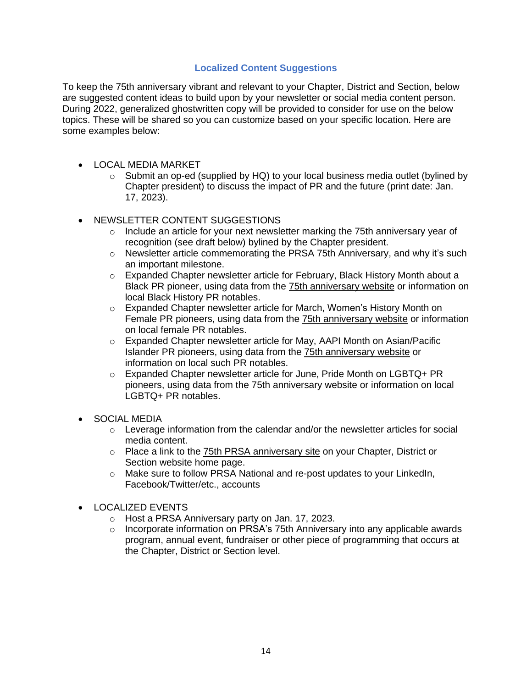# **Localized Content Suggestions**

To keep the 75th anniversary vibrant and relevant to your Chapter, District and Section, below are suggested content ideas to build upon by your newsletter or social media content person. During 2022, generalized ghostwritten copy will be provided to consider for use on the below topics. These will be shared so you can customize based on your specific location. Here are some examples below:

- LOCAL MEDIA MARKET
	- $\circ$  Submit an op-ed (supplied by HQ) to your local business media outlet (bylined by Chapter president) to discuss the impact of PR and the future (print date: Jan. 17, 2023).
- NEWSLETTER CONTENT SUGGESTIONS
	- $\circ$  Include an article for your next newsletter marking the 75th anniversary year of recognition (see draft below) bylined by the Chapter president.
	- o Newsletter article commemorating the PRSA 75th Anniversary, and why it's such an important milestone.
	- o Expanded Chapter newsletter article for February, Black History Month about a Black PR pioneer, using data from the 75th [anniversary](https://prsa.org/75) website or information on local Black History PR notables.
	- o Expanded Chapter newsletter article for March, Women's History Month on Female PR pioneers, using data from the 75th [anniversary](https://prsa.org/75) website or information on local female PR notables.
	- $\circ$  Expanded Chapter newsletter article for May, AAPI Month on Asian/Pacific Islander PR pioneers, using data from the 75th [anniversary](https://prsa.org/75) website or information on local such PR notables.
	- o Expanded Chapter newsletter article for June, Pride Month on LGBTQ+ PR pioneers, using data from the 75th anniversary website or information on local LGBTQ+ PR notables.
- SOCIAL MEDIA
	- $\circ$  Leverage information from the calendar and/or the newsletter articles for social media content.
	- $\circ$  Place a link to the 75th PRSA [anniversary](https://prsa.org/75) site on your Chapter, District or Section website home page.
	- o Make sure to follow PRSA National and re-post updates to your LinkedIn, Facebook/Twitter/etc., accounts
- LOCALIZED EVENTS
	- o Host a PRSA Anniversary party on Jan. 17, 2023.
	- $\circ$  Incorporate information on PRSA's 75th Anniversary into any applicable awards program, annual event, fundraiser or other piece of programming that occurs at the Chapter, District or Section level.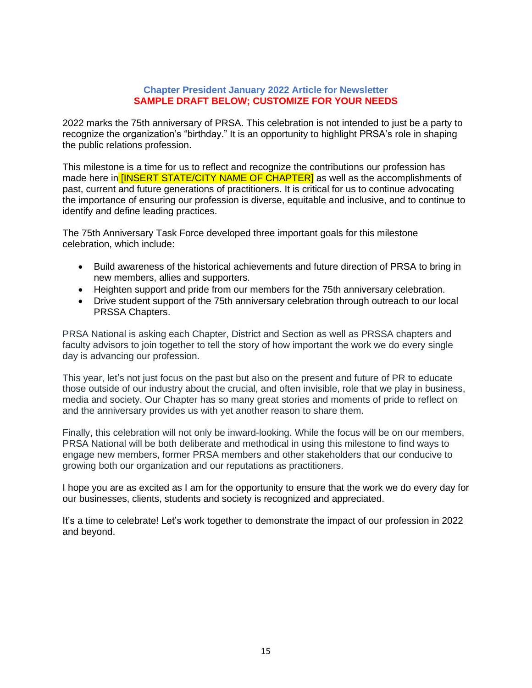#### **Chapter President January 2022 Article for Newsletter SAMPLE DRAFT BELOW; CUSTOMIZE FOR YOUR NEEDS**

2022 marks the 75th anniversary of PRSA. This celebration is not intended to just be a party to recognize the organization's "birthday." It is an opportunity to highlight PRSA's role in shaping the public relations profession.

This milestone is a time for us to reflect and recognize the contributions our profession has made here in **[INSERT STATE/CITY NAME OF CHAPTER]** as well as the accomplishments of past, current and future generations of practitioners. It is critical for us to continue advocating the importance of ensuring our profession is diverse, equitable and inclusive, and to continue to identify and define leading practices.

The 75th Anniversary Task Force developed three important goals for this milestone celebration, which include:

- Build awareness of the historical achievements and future direction of PRSA to bring in new members, allies and supporters.
- Heighten support and pride from our members for the 75th anniversary celebration.
- Drive student support of the 75th anniversary celebration through outreach to our local PRSSA Chapters.

PRSA National is asking each Chapter, District and Section as well as PRSSA chapters and faculty advisors to join together to tell the story of how important the work we do every single day is advancing our profession.

This year, let's not just focus on the past but also on the present and future of PR to educate those outside of our industry about the crucial, and often invisible, role that we play in business, media and society. Our Chapter has so many great stories and moments of pride to reflect on and the anniversary provides us with yet another reason to share them.

Finally, this celebration will not only be inward-looking. While the focus will be on our members, PRSA National will be both deliberate and methodical in using this milestone to find ways to engage new members, former PRSA members and other stakeholders that our conducive to growing both our organization and our reputations as practitioners.

I hope you are as excited as I am for the opportunity to ensure that the work we do every day for our businesses, clients, students and society is recognized and appreciated.

It's a time to celebrate! Let's work together to demonstrate the impact of our profession in 2022 and beyond.